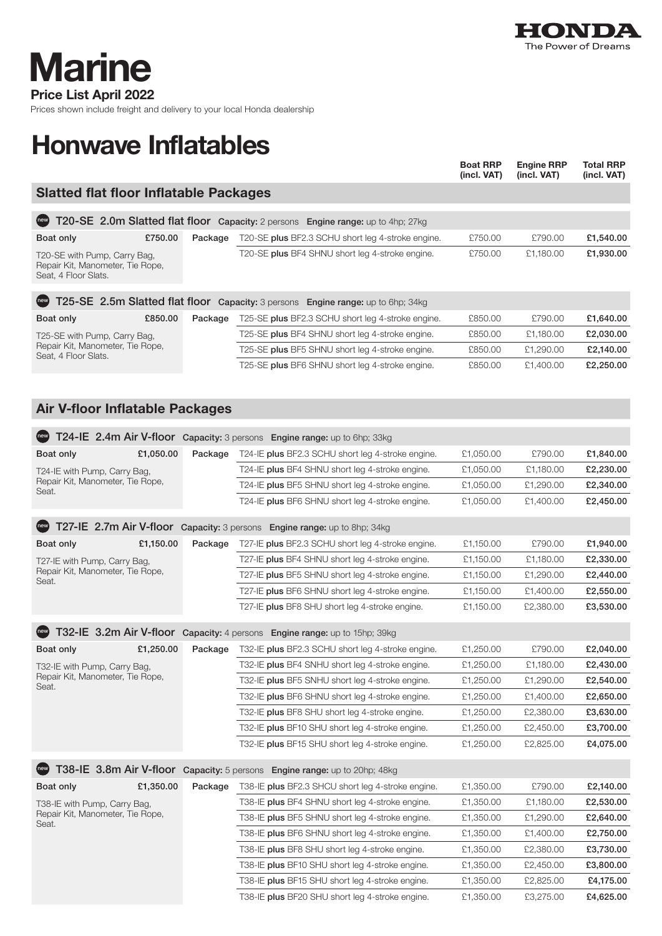

Price List April 2022 **Marine** 

Prices shown include freight and delivery to your local Honda dealership

## Honwave Inflatables

|                                                                                           |         |                                                                                                      | <b>Boat RRP</b><br>(incl. VAT) | <b>Engine RRP</b><br>(incl. VAT) | <b>Total RRP</b><br>(incl. VAT) |  |  |  |
|-------------------------------------------------------------------------------------------|---------|------------------------------------------------------------------------------------------------------|--------------------------------|----------------------------------|---------------------------------|--|--|--|
| <b>Slatted flat floor Inflatable Packages</b>                                             |         |                                                                                                      |                                |                                  |                                 |  |  |  |
| (new)<br>T20-SE 2.0m Slatted flat floor Capacity: 2 persons Engine range: up to 4hp; 27kg |         |                                                                                                      |                                |                                  |                                 |  |  |  |
| £750.00<br>Boat only                                                                      | Package | T20-SE plus BF2.3 SCHU short leg 4-stroke engine.                                                    | £750.00                        | £790.00                          | £1,540.00                       |  |  |  |
|                                                                                           |         | T20-SE plus BF4 SHNU short leg 4-stroke engine.                                                      | £750.00                        | £1,180.00                        | £1,930.00                       |  |  |  |
| T20-SE with Pump, Carry Bag,<br>Repair Kit, Manometer, Tie Rope,<br>Seat, 4 Floor Slats.  |         |                                                                                                      |                                |                                  |                                 |  |  |  |
| T25-SE 2.5m Slatted flat floor Capacity: 3 persons Engine range: up to 6hp; 34kg<br>(new) |         |                                                                                                      |                                |                                  |                                 |  |  |  |
| £850.00<br>Boat only                                                                      | Package | T25-SE plus BF2.3 SCHU short leg 4-stroke engine.                                                    | £850.00                        | £790.00                          | £1,640.00                       |  |  |  |
| T25-SE with Pump, Carry Bag,                                                              |         | T25-SE plus BF4 SHNU short leg 4-stroke engine.                                                      | £850.00                        | £1,180.00                        | £2,030.00                       |  |  |  |
| Repair Kit, Manometer, Tie Rope,<br>Seat, 4 Floor Slats.                                  |         | T25-SE plus BF5 SHNU short leg 4-stroke engine.                                                      | £850.00                        | £1,290.00                        | £2,140.00                       |  |  |  |
|                                                                                           |         | T25-SE plus BF6 SHNU short leg 4-stroke engine.                                                      | £850.00                        | £1,400.00                        | £2,250.00                       |  |  |  |
|                                                                                           |         |                                                                                                      |                                |                                  |                                 |  |  |  |
| <b>Air V-floor Inflatable Packages</b>                                                    |         |                                                                                                      |                                |                                  |                                 |  |  |  |
|                                                                                           |         |                                                                                                      |                                |                                  |                                 |  |  |  |
|                                                                                           |         | T24-IE 2.4m Air V-floor Capacity: 3 persons Engine range: up to 6hp; 33kg                            |                                |                                  |                                 |  |  |  |
| £1,050.00<br><b>Boat only</b>                                                             | Package | T24-IE plus BF2.3 SCHU short leg 4-stroke engine.                                                    | £1,050.00                      | £790.00                          | £1,840.00                       |  |  |  |
| T24-IE with Pump, Carry Bag,                                                              |         | T24-IE plus BF4 SHNU short leg 4-stroke engine.                                                      | £1,050.00                      | £1,180.00                        | £2,230.00                       |  |  |  |
| Repair Kit, Manometer, Tie Rope,<br>Seat.                                                 |         | T24-IE plus BF5 SHNU short leg 4-stroke engine.                                                      | £1,050.00                      | £1,290.00                        | £2,340.00                       |  |  |  |
|                                                                                           |         | T24-IE plus BF6 SHNU short leg 4-stroke engine.                                                      | £1,050.00                      | £1,400.00                        | £2,450.00                       |  |  |  |
|                                                                                           |         | T27-IE 2.7m Air V-floor Capacity: 3 persons Engine range: up to 8hp; 34kg                            |                                |                                  |                                 |  |  |  |
| £1,150.00<br>Boat only                                                                    | Package | T27-IE plus BF2.3 SCHU short leg 4-stroke engine.                                                    | £1,150.00                      | £790.00                          | £1,940.00                       |  |  |  |
| T27-IE with Pump, Carry Bag,                                                              |         | T27-IE plus BF4 SHNU short leg 4-stroke engine.                                                      | £1,150.00                      | £1,180.00                        | £2,330.00                       |  |  |  |
| Repair Kit, Manometer, Tie Rope,                                                          |         | T27-IE plus BF5 SHNU short leg 4-stroke engine.                                                      | £1,150.00                      | £1,290.00                        | £2,440.00                       |  |  |  |
| Seat.                                                                                     |         | T27-IE plus BF6 SHNU short leg 4-stroke engine.                                                      | £1,150.00                      | £1,400.00                        | £2,550.00                       |  |  |  |
|                                                                                           |         | T27-IE plus BF8 SHU short leg 4-stroke engine.                                                       | £1,150.00                      | £2,380.00                        | £3,530.00                       |  |  |  |
| $^{\prime}$ new $^{\prime}$                                                               |         | T32-IE 3.2m Air V-floor Capacity: 4 persons Engine range: up to 15hp; 39kg                           |                                |                                  |                                 |  |  |  |
|                                                                                           |         |                                                                                                      |                                |                                  |                                 |  |  |  |
| Boat only<br>£1,250.00                                                                    | Package | T32-IE plus BF2.3 SCHU short leg 4-stroke engine.<br>T32-IE plus BF4 SNHU short leg 4-stroke engine. | £1,250.00<br>£1,250.00         | £790.00<br>£1,180.00             | £2,040.00<br>£2,430.00          |  |  |  |
| T32-IE with Pump, Carry Bag,<br>Repair Kit, Manometer, Tie Rope,                          |         | T32-IE plus BF5 SNHU short leg 4-stroke engine.                                                      | £1,250.00                      | £1,290.00                        | £2,540.00                       |  |  |  |
| Seat.                                                                                     |         |                                                                                                      | £1,250.00                      |                                  |                                 |  |  |  |
|                                                                                           |         | T32-IE plus BF6 SHNU short leg 4-stroke engine.<br>T32-IE plus BF8 SHU short leg 4-stroke engine.    | £1,250.00                      | £1,400.00<br>£2,380.00           | £2,650.00                       |  |  |  |
|                                                                                           |         |                                                                                                      |                                |                                  | £3,630.00                       |  |  |  |
|                                                                                           |         | T32-IE plus BF10 SHU short leg 4-stroke engine.                                                      | £1,250.00                      | £2,450.00                        | £3,700.00                       |  |  |  |
|                                                                                           |         | T32-IE plus BF15 SHU short leg 4-stroke engine.                                                      | £1,250.00                      | £2,825.00                        | £4,075.00                       |  |  |  |
| (new)                                                                                     |         | T38-IE 3.8m Air V-floor Capacity: 5 persons Engine range: up to 20hp; 48kg                           |                                |                                  |                                 |  |  |  |
| £1,350.00<br>Boat only                                                                    | Package | T38-IE plus BF2.3 SHCU short leg 4-stroke engine.                                                    | £1,350.00                      | £790.00                          | £2,140.00                       |  |  |  |
| T38-IE with Pump, Carry Bag,                                                              |         | T38-IE plus BF4 SHNU short leg 4-stroke engine.                                                      | £1,350.00                      | £1,180.00                        | £2,530.00                       |  |  |  |
| Repair Kit, Manometer, Tie Rope,<br>Seat.                                                 |         | T38-IE plus BF5 SHNU short leg 4-stroke engine.                                                      | £1,350.00                      | £1,290.00                        | £2,640.00                       |  |  |  |
|                                                                                           |         | T38-IE plus BF6 SHNU short leg 4-stroke engine.                                                      | £1,350.00                      | £1,400.00                        | £2,750.00                       |  |  |  |
|                                                                                           |         | T38-IE plus BF8 SHU short leg 4-stroke engine.                                                       | £1,350.00                      | £2,380.00                        | £3,730.00                       |  |  |  |
|                                                                                           |         | T38-IE plus BF10 SHU short leg 4-stroke engine.                                                      | £1,350.00                      | £2,450.00                        | £3,800.00                       |  |  |  |
|                                                                                           |         | T38-IE plus BF15 SHU short leg 4-stroke engine.                                                      | £1,350.00                      | £2,825.00                        | £4,175.00                       |  |  |  |

T38-IE plus BF20 SHU short leg 4-stroke engine.  $£1,350.00$   $£3,275.00$   $£4,625.00$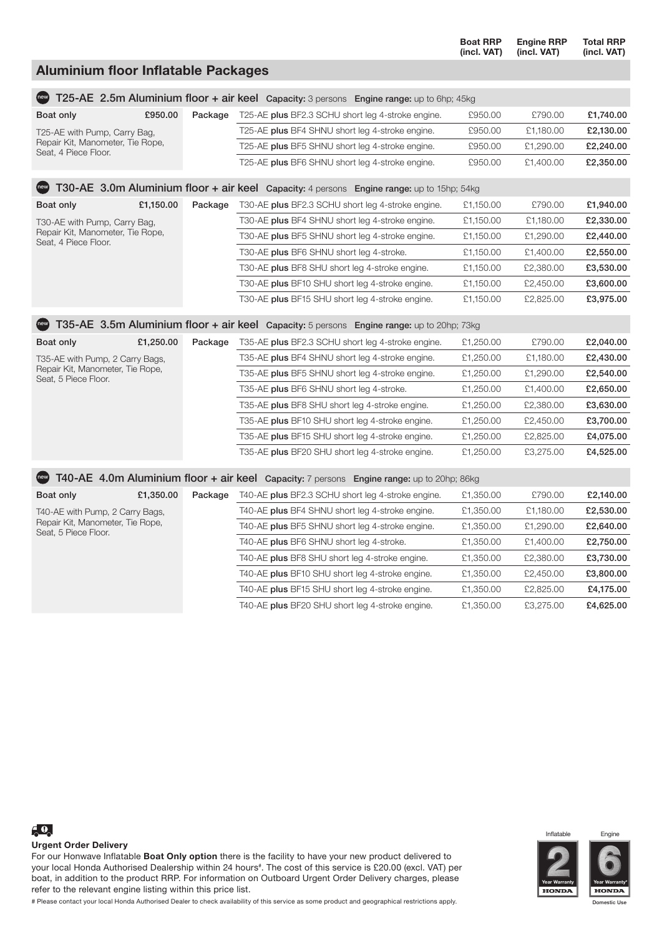|                                                          |           |         |                                                                                                             | <b>Boat RRP</b><br>(incl. VAT) | <b>Engine RRP</b><br>(incl. VAT) | <b>Total RRP</b><br>(incl. VAT) |  |  |
|----------------------------------------------------------|-----------|---------|-------------------------------------------------------------------------------------------------------------|--------------------------------|----------------------------------|---------------------------------|--|--|
| <b>Aluminium floor Inflatable Packages</b>               |           |         |                                                                                                             |                                |                                  |                                 |  |  |
|                                                          |           |         |                                                                                                             |                                |                                  |                                 |  |  |
|                                                          |           |         | <b>Comparison Section 2.5m Aluminium floor + air keel</b> Capacity: 3 persons Engine range: up to 6hp; 45kg |                                |                                  |                                 |  |  |
| Boat only                                                | £950.00   | Package | T25-AE plus BF2.3 SCHU short leg 4-stroke engine.                                                           | £950.00                        | £790.00                          | £1,740.00                       |  |  |
| T25-AE with Pump, Carry Bag,                             |           |         | T25-AE plus BF4 SHNU short leg 4-stroke engine.                                                             | £950.00                        | £1,180.00                        | £2,130.00                       |  |  |
| Repair Kit, Manometer, Tie Rope,<br>Seat, 4 Piece Floor. |           |         | T25-AE plus BF5 SHNU short leg 4-stroke engine.                                                             | £950.00                        | £1,290.00                        | £2,240.00                       |  |  |
|                                                          |           |         | T25-AE plus BF6 SHNU short leg 4-stroke engine.                                                             | £950.00                        | £1,400.00                        | £2,350.00                       |  |  |
| (new)                                                    |           |         | T30-AE 3.0m Aluminium floor + air keel Capacity: 4 persons Engine range: up to 15hp; 54kg                   |                                |                                  |                                 |  |  |
| Boat only                                                | £1,150.00 | Package | T30-AE plus BF2.3 SCHU short leg 4-stroke engine.                                                           | £1,150.00                      | £790.00                          | £1,940.00                       |  |  |
| T30-AE with Pump, Carry Bag,                             |           |         | T30-AE plus BF4 SHNU short leg 4-stroke engine.                                                             | £1,150.00                      | £1,180.00                        | £2,330.00                       |  |  |
| Repair Kit, Manometer, Tie Rope,<br>Seat, 4 Piece Floor. |           |         | T30-AE plus BF5 SHNU short leg 4-stroke engine.                                                             | £1,150.00                      | £1,290.00                        | £2,440.00                       |  |  |
|                                                          |           |         | T30-AE plus BF6 SHNU short leg 4-stroke.                                                                    | £1,150.00                      | £1,400.00                        | £2,550.00                       |  |  |
|                                                          |           |         | T30-AE plus BF8 SHU short leg 4-stroke engine.                                                              | £1,150.00                      | £2,380.00                        | £3,530.00                       |  |  |
|                                                          |           |         | T30-AE plus BF10 SHU short leg 4-stroke engine.                                                             | £1,150.00                      | £2,450.00                        | £3,600.00                       |  |  |
|                                                          |           |         | T30-AE plus BF15 SHU short leg 4-stroke engine.                                                             | £1,150.00                      | £2,825.00                        | £3,975.00                       |  |  |
| (new)                                                    |           |         | T35-AE 3.5m Aluminium floor + air keel Capacity: 5 persons Engine range: up to 20hp; 73kg                   |                                |                                  |                                 |  |  |
| Boat only                                                | £1,250.00 | Package | T35-AE plus BF2.3 SCHU short leg 4-stroke engine.                                                           | £1,250.00                      | £790.00                          | £2,040.00                       |  |  |
| T35-AE with Pump, 2 Carry Bags,                          |           |         | T35-AE plus BF4 SHNU short leg 4-stroke engine.                                                             | £1,250.00                      | £1,180.00                        | £2,430.00                       |  |  |
| Repair Kit, Manometer, Tie Rope,<br>Seat, 5 Piece Floor. |           |         | T35-AE plus BF5 SHNU short leg 4-stroke engine.                                                             | £1,250.00                      | £1,290.00                        | £2,540.00                       |  |  |
|                                                          |           |         | T35-AE plus BF6 SHNU short leg 4-stroke.                                                                    | £1,250.00                      | £1,400.00                        | £2,650.00                       |  |  |
|                                                          |           |         | T35-AE plus BF8 SHU short leg 4-stroke engine.                                                              | £1,250.00                      | £2,380.00                        | £3,630.00                       |  |  |
|                                                          |           |         | T35-AE plus BF10 SHU short leg 4-stroke engine.                                                             | £1,250.00                      | £2,450.00                        | £3,700.00                       |  |  |
|                                                          |           |         | T35-AE plus BF15 SHU short leg 4-stroke engine.                                                             | £1,250.00                      | £2,825.00                        | £4,075.00                       |  |  |
|                                                          |           |         | T35-AE plus BF20 SHU short leg 4-stroke engine.                                                             | £1,250.00                      | £3,275.00                        | £4,525.00                       |  |  |
| (new)                                                    |           |         | T40-AE 4.0m Aluminium floor + air keel Capacity: 7 persons Engine range: up to 20hp; 86kg                   |                                |                                  |                                 |  |  |
| Boat only                                                | £1,350.00 | Package | T40-AE plus BF2.3 SCHU short leg 4-stroke engine.                                                           | £1,350.00                      | £790.00                          | £2,140.00                       |  |  |
| T40-AE with Pump, 2 Carry Bags,                          |           |         | T40-AE plus BF4 SHNU short leg 4-stroke engine.                                                             | £1,350.00                      | £1,180.00                        | £2,530.00                       |  |  |
| Repair Kit, Manometer, Tie Rope,<br>Seat, 5 Piece Floor. |           |         | T40-AE plus BF5 SHNU short leg 4-stroke engine.                                                             | £1,350.00                      | £1,290.00                        | £2,640.00                       |  |  |
|                                                          |           |         | T40-AE plus BF6 SHNU short leg 4-stroke.                                                                    | £1,350.00                      | £1,400.00                        | £2,750.00                       |  |  |
|                                                          |           |         | T40-AE plus BF8 SHU short leg 4-stroke engine.                                                              | £1,350.00                      | £2,380.00                        | £3,730.00                       |  |  |
|                                                          |           |         | T40-AE plus BF10 SHU short leg 4-stroke engine.                                                             | £1,350.00                      | £2,450.00                        | £3,800.00                       |  |  |
|                                                          |           |         | T40-AE plus BF15 SHU short leg 4-stroke engine.                                                             | £1,350.00                      | £2,825.00                        | £4,175.00                       |  |  |
|                                                          |           |         | T40-AE plus BF20 SHU short leg 4-stroke engine.                                                             | £1,350.00                      | £3,275.00                        | £4,625.00                       |  |  |



## Urgent Order Delivery

For our Honwave Inflatable Boat Only option there is the facility to have your new product delivered to your local Honda Authorised Dealership within 24 hours# . The cost of this service is £20.00 (excl. VAT) per boat, in addition to the product RRP. For information on Outboard Urgent Order Delivery charges, please refer to the relevant engine listing within this price list.



Inflatable Engine

**Year Warranty\* HONDA** 

# Please contact your local Honda Authorised Dealer to check availability of this service as some product and geographical restrictions apply.

Domestic Use